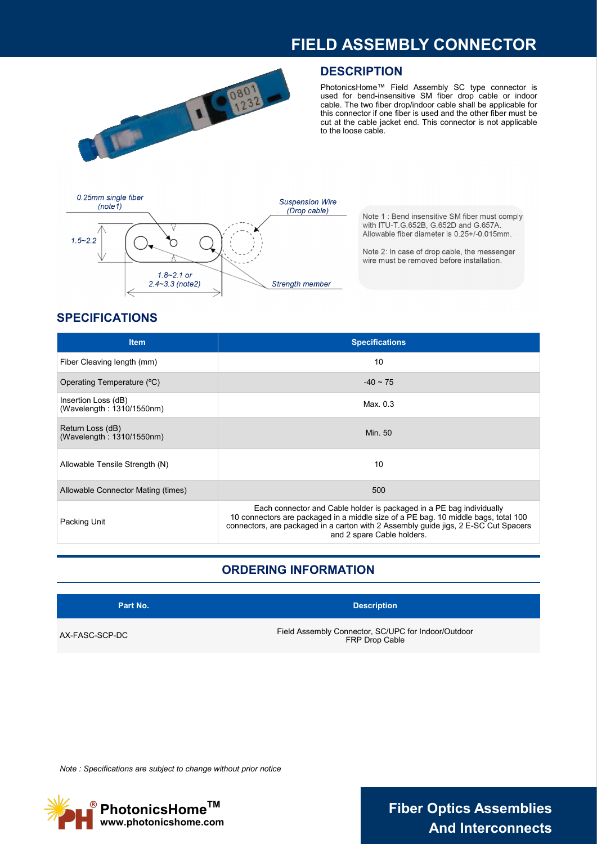## **FIELD ASSEMBLY CONNECTOR**



#### **DESCRIPTION**

PhotonicsHome™ Field Assembly SC type connector is used for bend-insensitive SM fiber drop cable or indoor cable. The two fiber drop/indoor cable shall be applicable for this connector if one fiber is used and the other fiber must be cut at the cable jacket end. This connector is not applicable to the loose cable.



Note 1: Bend insensitive SM fiber must comply with ITU-T.G.652B, G.652D and G.657A. Allowable fiber diameter is 0.25+/-0.015mm.

Note 2: In case of drop cable, the messenger wire must be removed before installation.

## **SPECIFICATIONS**

| <b>Item</b>                                      | <b>Specifications</b>                                                                                                                                                                                                                                                           |
|--------------------------------------------------|---------------------------------------------------------------------------------------------------------------------------------------------------------------------------------------------------------------------------------------------------------------------------------|
| Fiber Cleaving length (mm)                       | 10                                                                                                                                                                                                                                                                              |
| Operating Temperature (°C)                       | $-40 \sim 75$                                                                                                                                                                                                                                                                   |
| Insertion Loss (dB)<br>(Wavelength: 1310/1550nm) | Max. $0.3$                                                                                                                                                                                                                                                                      |
| Return Loss (dB)<br>(Wavelength: 1310/1550nm)    | Min. 50                                                                                                                                                                                                                                                                         |
| Allowable Tensile Strength (N)                   | 10                                                                                                                                                                                                                                                                              |
| Allowable Connector Mating (times)               | 500                                                                                                                                                                                                                                                                             |
| Packing Unit                                     | Each connector and Cable holder is packaged in a PE bag individually<br>10 connectors are packaged in a middle size of a PE bag. 10 middle bags, total 100<br>connectors, are packaged in a carton with 2 Assembly guide jigs, 2 E-SC Cut Spacers<br>and 2 spare Cable holders. |

## **ORDERING INFORMATION**

| Part No.       | <b>Description</b>                                                    |
|----------------|-----------------------------------------------------------------------|
| AX-FASC-SCP-DC | Field Assembly Connector, SC/UPC for Indoor/Outdoor<br>FRP Drop Cable |

*Note : Specifications are subject to change without prior notice*



**Fiber Optics Assemblies And Interconnects**